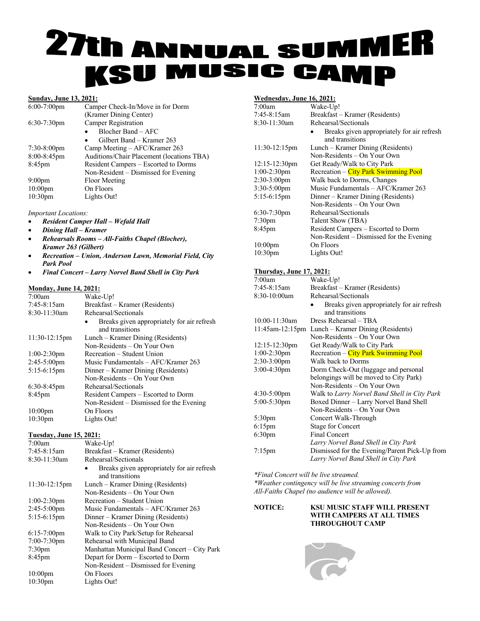## h ANNUAL SUMM **27t ISU MUSIC CAMP**

### **Sunday, June 13, 2021:**

| $6:00-7:00$ pm      | Camper Check-In/Move in for Dorm          |
|---------------------|-------------------------------------------|
|                     | (Kramer Dining Center)                    |
| $6:30-7:30$ pm      | <b>Camper Registration</b>                |
|                     | Blocher Band – AFC                        |
|                     | Gilbert Band – Kramer 263                 |
| $7:30-8:00$ pm      | Camp Meeting $-$ AFC/Kramer 263           |
| 8:00-8:45pm         | Auditions/Chair Placement (locations TBA) |
| $8:45$ pm           | Resident Campers - Escorted to Dorms      |
|                     | Non-Resident – Dismissed for Evening      |
| 9:00 <sub>pm</sub>  | Floor Meeting                             |
| $10:00$ pm          | On Floors                                 |
| 10:30 <sub>pm</sub> | Lights Out!                               |
|                     |                                           |

#### *Important Locations:*

- *Resident Camper Hall – Wefald Hall*
- *Dining Hall – Kramer*
- *Rehearsals Rooms – All-Faiths Chapel (Blocher), Kramer 263 (Gilbert)*
- *Recreation – Union, Anderson Lawn, Memorial Field, City Park Pool*
- *Final Concert – Larry Norvel Band Shell in City Park*

### **Monday, June 14, 2021:**

| 7:00am                         | Wake-Up!                                     |
|--------------------------------|----------------------------------------------|
| $7:45-8:15am$                  | Breakfast - Kramer (Residents)               |
| 8:30-11:30am                   | Rehearsal/Sectionals                         |
|                                | Breaks given appropriately for air refresh   |
|                                | and transitions                              |
| 11:30-12:15pm                  | Lunch – Kramer Dining (Residents)            |
|                                | Non-Residents – On Your Own                  |
| 1:00-2:30pm                    | Recreation – Student Union                   |
| 2:45-5:00pm                    | Music Fundamentals - AFC/Kramer 263          |
| 5:15-6:15pm                    | Dinner - Kramer Dining (Residents)           |
|                                | Non-Residents - On Your Own                  |
| $6:30-8:45$ pm                 | Rehearsal/Sectionals                         |
| $8:45$ pm                      | Resident Campers - Escorted to Dorm          |
|                                | Non-Resident – Dismissed for the Evening     |
| $10:00$ pm                     | On Floors                                    |
| 10:30pm                        | Lights Out!                                  |
| <b>Tuesday, June 15, 2021:</b> |                                              |
| 7:00am                         | Wake-Up!                                     |
| 7:45-8:15am                    | Breakfast – Kramer (Residents)               |
| 8:30-11:30am                   | Rehearsal/Sectionals                         |
|                                | Breaks given appropriately for air refresh   |
|                                | and transitions                              |
| 11:30-12:15pm                  | Lunch – Kramer Dining (Residents)            |
|                                | Non-Residents – On Your Own                  |
| $1:00-2:30$ pm                 | Recreation – Student Union                   |
| $2:45-5:00$ pm                 | Music Fundamentals - AFC/Kramer 263          |
| $5:15-6:15$ pm                 | Dinner - Kramer Dining (Residents)           |
|                                | Non-Residents – On Your Own                  |
| $6:15-7:00$ pm                 | Walk to City Park/Setup for Rehearsal        |
| 7:00-7:30pm                    | Rehearsal with Municipal Band                |
| 7:30 <sub>pm</sub>             | Manhattan Municipal Band Concert - City Park |
| 8:45pm                         | Depart for Dorm - Escorted to Dorm           |
|                                | Non-Resident - Dismissed for Evening         |
| $10:00$ pm                     | On Floors                                    |
| 10:30pm                        | Lights Out!                                  |

### **Wednesday, June 16, 2021:**

| Wednesday, June 10, 2021.        |                                                               |
|----------------------------------|---------------------------------------------------------------|
| 7:00am                           | Wake-Up!                                                      |
| 7:45-8:15am                      | Breakfast – Kramer (Residents)                                |
| 8:30-11:30am                     | Rehearsal/Sectionals                                          |
|                                  | Breaks given appropriately for air refresh                    |
|                                  | and transitions                                               |
| 11:30-12:15pm                    | Lunch – Kramer Dining (Residents)                             |
|                                  | Non-Residents – On Your Own                                   |
| 12:15-12:30pm                    | Get Ready/Walk to City Park                                   |
| $1:00-2:30$ pm                   | <b>Recreation – City Park Swimming Pool</b>                   |
| 2:30-3:00pm                      | Walk back to Dorms, Changes                                   |
| 3:30-5:00pm                      | Music Fundamentals - AFC/Kramer 263                           |
| 5:15-6:15pm                      | Dinner – Kramer Dining (Residents)                            |
|                                  | Non-Residents – On Your Own                                   |
| 6:30-7:30pm                      | Rehearsal/Sectionals                                          |
| 7:30pm                           | Talent Show (TBA)                                             |
| 8:45pm                           | Resident Campers – Escorted to Dorm                           |
|                                  | Non-Resident – Dismissed for the Evening                      |
| $10:00$ pm                       | On Floors                                                     |
| 10:30 <sub>pm</sub>              | Lights Out!                                                   |
|                                  |                                                               |
| <u> Thursday, June 17, 2021:</u> |                                                               |
| 7:00am                           | Wake-Up!                                                      |
| 7:45-8:15am                      | Breakfast – Kramer (Residents)                                |
| 8:30-10:00am                     | Rehearsal/Sectionals                                          |
|                                  | Breaks given appropriately for air refresh<br>and transitions |
| 10:00-11:30am                    | Dress Rehearsal – TBA                                         |
| 11:45am-12:15pm                  | Lunch – Kramer Dining (Residents)                             |
|                                  | Non-Residents – On Your Own                                   |

- Non-Residents On Your Own 12:15-12:30pm Get Ready/Walk to City Park<br>1:00-2:30pm Recreation – City Park Swimn
	- Recreation City Park Swimming Pool

| Walk back to Dorms                            |
|-----------------------------------------------|
| Dorm Check-Out (luggage and personal          |
| belongings will be moved to City Park)        |
| Non-Residents – On Your Own                   |
| Walk to Larry Norvel Band Shell in City Park  |
| Boxed Dinner – Larry Norvel Band Shell        |
| Non-Residents – On Your Own                   |
| Concert Walk-Through                          |
| <b>Stage for Concert</b>                      |
| <b>Final Concert</b>                          |
| Larry Norvel Band Shell in City Park          |
| Dismissed for the Evening/Parent Pick-Up from |
| Larry Norvel Band Shell in City Park          |
|                                               |

*\*Final Concert will be live streamed.*

*\*Weather contingency will be live streaming concerts from All-Faiths Chapel (no audience will be allowed).*

### **NOTICE: KSU MUSIC STAFF WILL PRESENT WITH CAMPERS AT ALL TIMES THROUGHOUT CAMP**